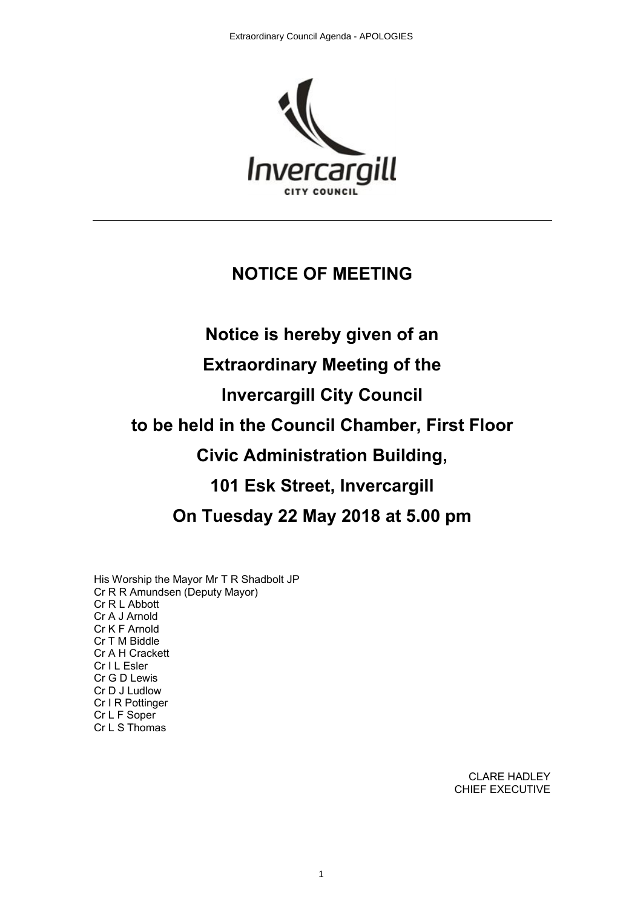

# **NOTICE OF MEETING**

# **Notice is hereby given of an Extraordinary Meeting of the Invercargill City Council to be held in the Council Chamber, First Floor Civic Administration Building, 101 Esk Street, Invercargill On Tuesday 22 May 2018 at 5.00 pm**

His Worship the Mayor Mr T R Shadbolt JP Cr R R Amundsen (Deputy Mayor) Cr R L Abbott Cr A J Arnold Cr K F Arnold Cr T M Biddle Cr A H Crackett Cr I L Esler Cr G D Lewis Cr D J Ludlow Cr I R Pottinger Cr L F Soper Cr L S Thomas

> CLARE HADLEY CHIEF EXECUTIVE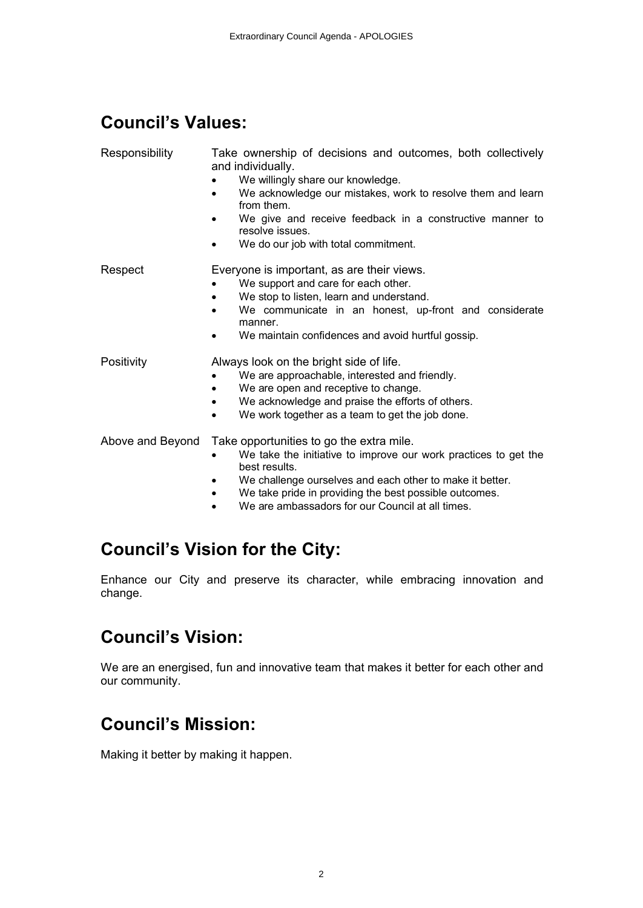# **Council's Values:**

| Responsibility   | Take ownership of decisions and outcomes, both collectively<br>and individually.<br>We willingly share our knowledge.<br>We acknowledge our mistakes, work to resolve them and learn<br>from them.<br>We give and receive feedback in a constructive manner to<br>resolve issues.<br>We do our job with total commitment.        |
|------------------|----------------------------------------------------------------------------------------------------------------------------------------------------------------------------------------------------------------------------------------------------------------------------------------------------------------------------------|
| Respect          | Everyone is important, as are their views.<br>We support and care for each other.<br>We stop to listen, learn and understand.<br>We communicate in an honest, up-front and considerate<br>manner.<br>We maintain confidences and avoid hurtful gossip.                                                                           |
| Positivity       | Always look on the bright side of life.<br>We are approachable, interested and friendly.<br>We are open and receptive to change.<br>We acknowledge and praise the efforts of others.<br>٠<br>We work together as a team to get the job done.<br>$\bullet$                                                                        |
| Above and Beyond | Take opportunities to go the extra mile.<br>We take the initiative to improve our work practices to get the<br>best results.<br>We challenge ourselves and each other to make it better.<br>We take pride in providing the best possible outcomes.<br>$\bullet$<br>We are ambassadors for our Council at all times.<br>$\bullet$ |

# **Council's Vision for the City:**

Enhance our City and preserve its character, while embracing innovation and change.

# **Council's Vision:**

We are an energised, fun and innovative team that makes it better for each other and our community.

# **Council's Mission:**

Making it better by making it happen.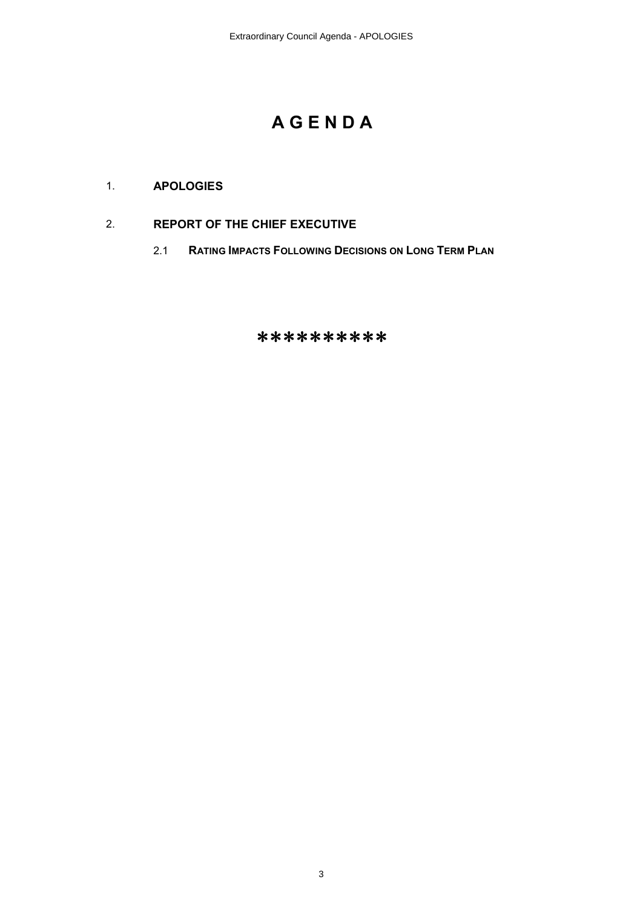# **A G E N D A**

### 1. **APOLOGIES**

### 2. **REPORT OF THE CHIEF EXECUTIVE**

2.1 **RATING IMPACTS FOLLOWING DECISIONS ON LONG TERM PLAN** 

## \*\*\*\*\*\*\*\*\*\*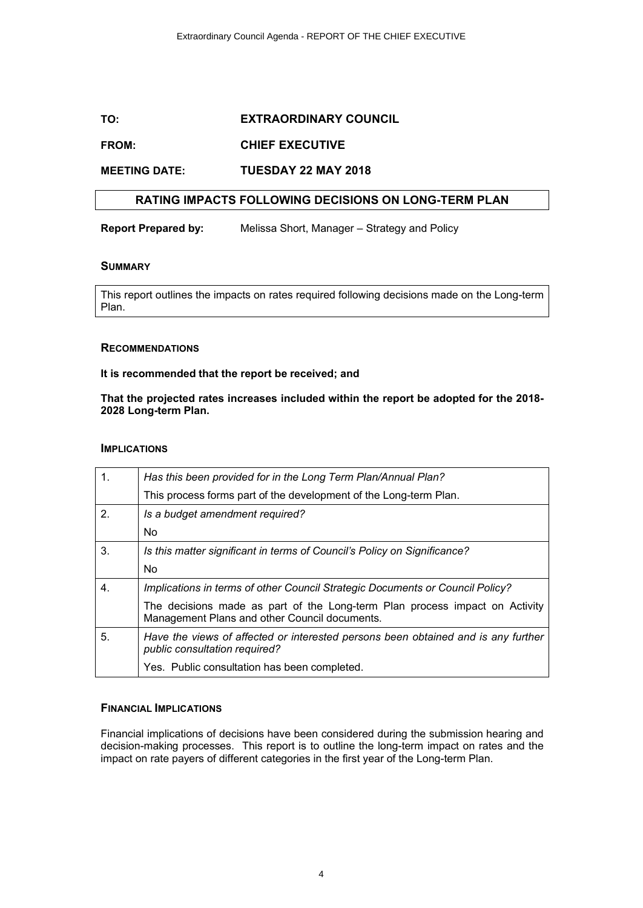### **TO: EXTRAORDINARY COUNCIL**

### **FROM: CHIEF EXECUTIVE**

#### **MEETING DATE: TUESDAY 22 MAY 2018**

### **RATING IMPACTS FOLLOWING DECISIONS ON LONG-TERM PLAN**

**Report Prepared by:** Melissa Short, Manager – Strategy and Policy

#### **SUMMARY**

This report outlines the impacts on rates required following decisions made on the Long-term Plan.

#### **RECOMMENDATIONS**

#### **It is recommended that the report be received; and**

#### **That the projected rates increases included within the report be adopted for the 2018- 2028 Long-term Plan.**

#### **IMPLICATIONS**

| 1. | Has this been provided for in the Long Term Plan/Annual Plan?                                                                |  |  |  |
|----|------------------------------------------------------------------------------------------------------------------------------|--|--|--|
|    | This process forms part of the development of the Long-term Plan.                                                            |  |  |  |
| 2. | Is a budget amendment required?                                                                                              |  |  |  |
|    | No.                                                                                                                          |  |  |  |
| 3. | Is this matter significant in terms of Council's Policy on Significance?                                                     |  |  |  |
|    | No.                                                                                                                          |  |  |  |
| 4. | Implications in terms of other Council Strategic Documents or Council Policy?                                                |  |  |  |
|    | The decisions made as part of the Long-term Plan process impact on Activity<br>Management Plans and other Council documents. |  |  |  |
| 5. | Have the views of affected or interested persons been obtained and is any further<br>public consultation required?           |  |  |  |
|    | Yes. Public consultation has been completed.                                                                                 |  |  |  |

#### **FINANCIAL IMPLICATIONS**

Financial implications of decisions have been considered during the submission hearing and decision-making processes. This report is to outline the long-term impact on rates and the impact on rate payers of different categories in the first year of the Long-term Plan.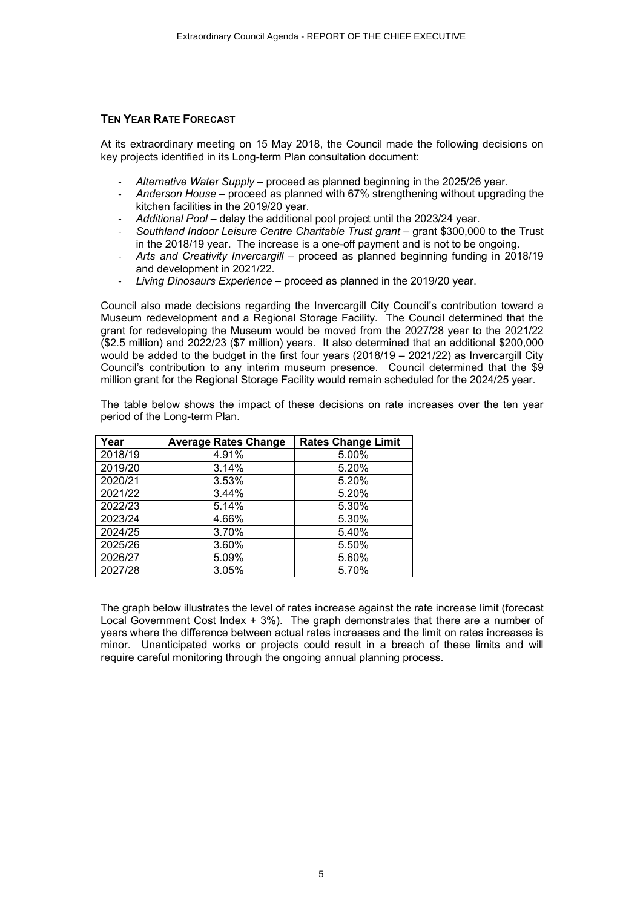#### **TEN YEAR RATE FORECAST**

At its extraordinary meeting on 15 May 2018, the Council made the following decisions on key projects identified in its Long-term Plan consultation document:

- *Alternative Water Supply* proceed as planned beginning in the 2025/26 year.
- *Anderson House* proceed as planned with 67% strengthening without upgrading the kitchen facilities in the 2019/20 year.
- *Additional Pool* delay the additional pool project until the 2023/24 year.
- *Southland Indoor Leisure Centre Charitable Trust grant* grant \$300,000 to the Trust in the 2018/19 year. The increase is a one-off payment and is not to be ongoing.
- *Arts and Creativity Invercargill* proceed as planned beginning funding in 2018/19 and development in 2021/22.
- *Living Dinosaurs Experience* proceed as planned in the 2019/20 year.

Council also made decisions regarding the Invercargill City Council's contribution toward a Museum redevelopment and a Regional Storage Facility. The Council determined that the grant for redeveloping the Museum would be moved from the 2027/28 year to the 2021/22 (\$2.5 million) and 2022/23 (\$7 million) years. It also determined that an additional \$200,000 would be added to the budget in the first four years (2018/19 - 2021/22) as Invercargill City Council's contribution to any interim museum presence. Council determined that the \$9 million grant for the Regional Storage Facility would remain scheduled for the 2024/25 year.

The table below shows the impact of these decisions on rate increases over the ten year period of the Long-term Plan.

| Year    | <b>Average Rates Change</b> | <b>Rates Change Limit</b> |  |  |
|---------|-----------------------------|---------------------------|--|--|
| 2018/19 | 4.91%                       | 5.00%                     |  |  |
| 2019/20 | 3.14%                       | 5.20%                     |  |  |
| 2020/21 | 3.53%                       | 5.20%                     |  |  |
| 2021/22 | 3.44%                       | 5.20%                     |  |  |
| 2022/23 | 5.14%                       | 5.30%                     |  |  |
| 2023/24 | 4.66%                       | 5.30%                     |  |  |
| 2024/25 | 3.70%                       | 5.40%                     |  |  |
| 2025/26 | 3.60%                       | 5.50%                     |  |  |
| 2026/27 | 5.09%                       | 5.60%                     |  |  |
| 2027/28 | 3.05%                       | 5.70%                     |  |  |

The graph below illustrates the level of rates increase against the rate increase limit (forecast Local Government Cost Index + 3%). The graph demonstrates that there are a number of years where the difference between actual rates increases and the limit on rates increases is minor. Unanticipated works or projects could result in a breach of these limits and will require careful monitoring through the ongoing annual planning process.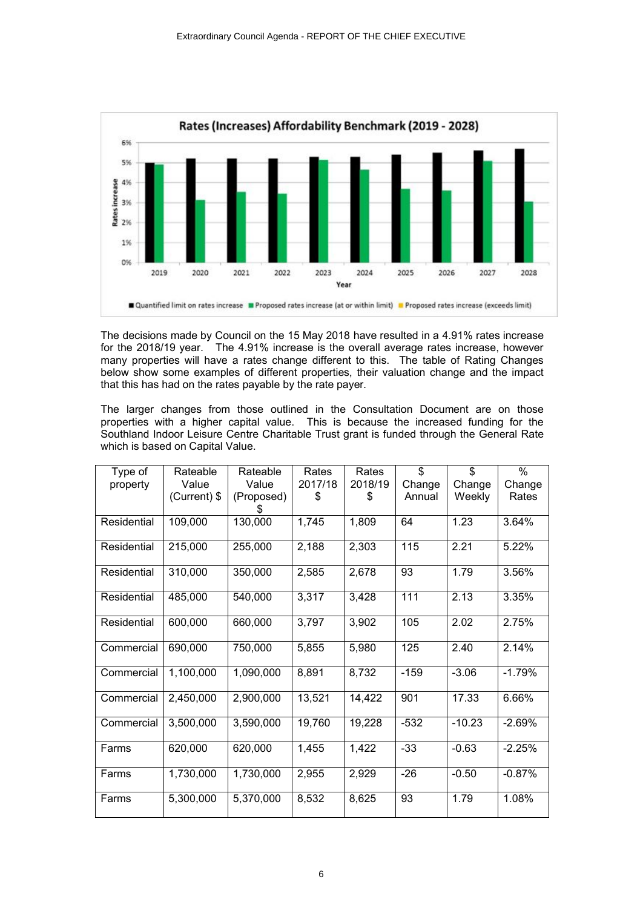

The decisions made by Council on the 15 May 2018 have resulted in a 4.91% rates increase for the 2018/19 year. The 4.91% increase is the overall average rates increase, however many properties will have a rates change different to this. The table of Rating Changes below show some examples of different properties, their valuation change and the impact that this has had on the rates payable by the rate payer.

The larger changes from those outlined in the Consultation Document are on those properties with a higher capital value. This is because the increased funding for the Southland Indoor Leisure Centre Charitable Trust grant is funded through the General Rate which is based on Capital Value.

| Type of     | Rateable       | Rateable   | Rates   | Rates   | \$     | \$       | $\%$     |
|-------------|----------------|------------|---------|---------|--------|----------|----------|
| property    | Value          | Value      | 2017/18 | 2018/19 | Change | Change   | Change   |
|             | $(Current)$ \$ | (Proposed) | \$      | S       | Annual | Weekly   | Rates    |
| Residential | 109,000        | 130,000    | 1,745   | 1,809   | 64     | 1.23     | 3.64%    |
| Residential | 215,000        | 255,000    | 2,188   | 2,303   | 115    | 2.21     | 5.22%    |
| Residential | 310,000        | 350,000    | 2,585   | 2,678   | 93     | 1.79     | 3.56%    |
| Residential | 485,000        | 540,000    | 3,317   | 3,428   | 111    | 2.13     | 3.35%    |
| Residential | 600,000        | 660,000    | 3,797   | 3,902   | 105    | 2.02     | 2.75%    |
| Commercial  | 690,000        | 750,000    | 5,855   | 5,980   | 125    | 2.40     | 2.14%    |
| Commercial  | 1,100,000      | 1,090,000  | 8,891   | 8,732   | $-159$ | $-3.06$  | $-1.79%$ |
| Commercial  | 2,450,000      | 2,900,000  | 13,521  | 14,422  | 901    | 17.33    | 6.66%    |
| Commercial  | 3.500.000      | 3.590.000  | 19,760  | 19,228  | $-532$ | $-10.23$ | $-2.69%$ |
| Farms       | 620,000        | 620,000    | 1,455   | 1,422   | $-33$  | $-0.63$  | $-2.25%$ |
| Farms       | 1,730,000      | 1,730,000  | 2,955   | 2,929   | $-26$  | $-0.50$  | $-0.87%$ |
| Farms       | 5,300,000      | 5,370,000  | 8,532   | 8,625   | 93     | 1.79     | 1.08%    |